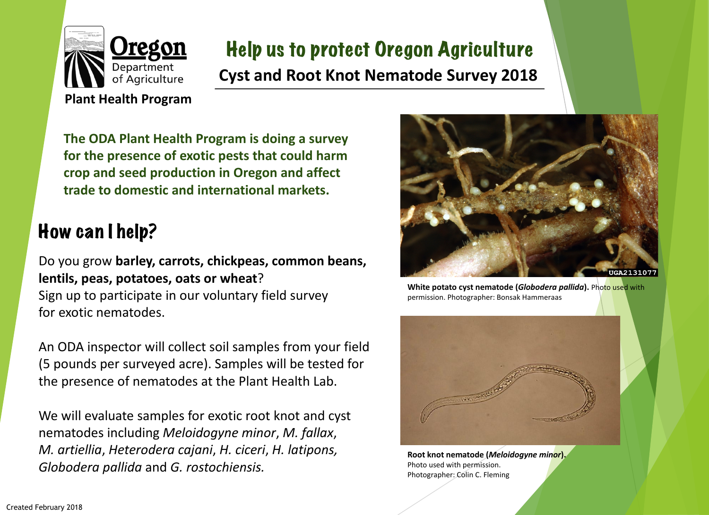

# Help us to protect Oregon Agriculture **Cyst and Root Knot Nematode Survey 2018**

**The ODA Plant Health Program is doing a survey for the presence of exotic pests that could harm crop and seed production in Oregon and affect trade to domestic and international markets.**

# How can I help?

Do you grow **barley, carrots, chickpeas, common beans, lentils, peas, potatoes, oats or wheat**? Sign up to participate in our voluntary field survey for exotic nematodes.

An ODA inspector will collect soil samples from your field (5 pounds per surveyed acre). Samples will be tested for the presence of nematodes at the Plant Health Lab.

We will evaluate samples for exotic root knot and cyst nematodes including *Meloidogyne minor*, *M. fallax*, *M. artiellia*, *Heterodera cajani*, *H. ciceri*, *H. latipons, Globodera pallida* and *G. rostochiensis.*



**White potato cyst nematode (***Globodera pallida***).** Photo used with permission. Photographer: Bonsak Hammeraas



**Root knot nematode (***Meloidogyne minor***).** Photo used with permission. Photographer: Colin C. Fleming